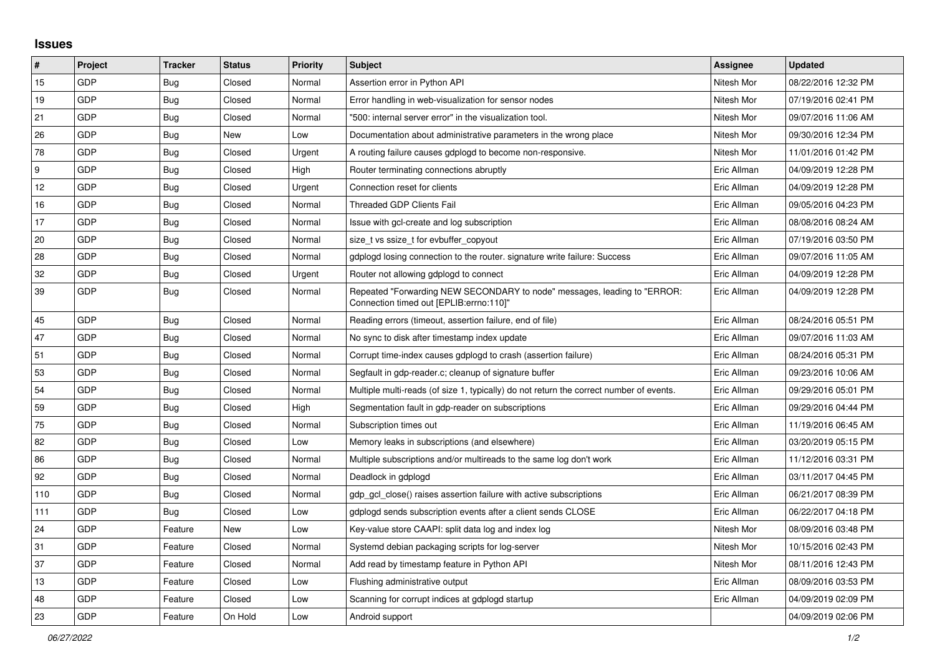## **Issues**

| $\#$ | Project    | <b>Tracker</b> | <b>Status</b> | <b>Priority</b> | <b>Subject</b>                                                                                                      | Assignee    | <b>Updated</b>      |
|------|------------|----------------|---------------|-----------------|---------------------------------------------------------------------------------------------------------------------|-------------|---------------------|
| 15   | GDP        | <b>Bug</b>     | Closed        | Normal          | Assertion error in Python API                                                                                       | Nitesh Mor  | 08/22/2016 12:32 PM |
| 19   | GDP        | <b>Bug</b>     | Closed        | Normal          | Error handling in web-visualization for sensor nodes                                                                | Nitesh Mor  | 07/19/2016 02:41 PM |
| 21   | GDP        | <b>Bug</b>     | Closed        | Normal          | "500: internal server error" in the visualization tool.                                                             | Nitesh Mor  | 09/07/2016 11:06 AM |
| 26   | <b>GDP</b> | <b>Bug</b>     | New           | Low             | Documentation about administrative parameters in the wrong place                                                    | Nitesh Mor  | 09/30/2016 12:34 PM |
| 78   | GDP        | Bug            | Closed        | Urgent          | A routing failure causes gdplogd to become non-responsive.                                                          | Nitesh Mor  | 11/01/2016 01:42 PM |
| 9    | GDP        | <b>Bug</b>     | Closed        | High            | Router terminating connections abruptly                                                                             | Eric Allman | 04/09/2019 12:28 PM |
| 12   | <b>GDP</b> | <b>Bug</b>     | Closed        | Urgent          | Connection reset for clients                                                                                        | Eric Allman | 04/09/2019 12:28 PM |
| 16   | GDP        | <b>Bug</b>     | Closed        | Normal          | <b>Threaded GDP Clients Fail</b>                                                                                    | Eric Allman | 09/05/2016 04:23 PM |
| 17   | GDP        | Bug            | Closed        | Normal          | Issue with gcl-create and log subscription                                                                          | Eric Allman | 08/08/2016 08:24 AM |
| 20   | GDP        | Bug            | Closed        | Normal          | size t vs ssize t for evbuffer copyout                                                                              | Eric Allman | 07/19/2016 03:50 PM |
| 28   | <b>GDP</b> | Bug            | Closed        | Normal          | gdplogd losing connection to the router, signature write failure: Success                                           | Eric Allman | 09/07/2016 11:05 AM |
| 32   | GDP        | <b>Bug</b>     | Closed        | Urgent          | Router not allowing gdplogd to connect                                                                              | Eric Allman | 04/09/2019 12:28 PM |
| 39   | GDP        | <b>Bug</b>     | Closed        | Normal          | Repeated "Forwarding NEW SECONDARY to node" messages, leading to "ERROR:<br>Connection timed out [EPLIB:errno:110]" | Eric Allman | 04/09/2019 12:28 PM |
| 45   | GDP        | Bug            | Closed        | Normal          | Reading errors (timeout, assertion failure, end of file)                                                            | Eric Allman | 08/24/2016 05:51 PM |
| 47   | GDP        | <b>Bug</b>     | Closed        | Normal          | No sync to disk after timestamp index update                                                                        | Eric Allman | 09/07/2016 11:03 AM |
| 51   | <b>GDP</b> | Bug            | Closed        | Normal          | Corrupt time-index causes gdplogd to crash (assertion failure)                                                      | Eric Allman | 08/24/2016 05:31 PM |
| 53   | GDP        | Bug            | Closed        | Normal          | Segfault in gdp-reader.c; cleanup of signature buffer                                                               | Eric Allman | 09/23/2016 10:06 AM |
| 54   | GDP        | <b>Bug</b>     | Closed        | Normal          | Multiple multi-reads (of size 1, typically) do not return the correct number of events.                             | Eric Allman | 09/29/2016 05:01 PM |
| 59   | <b>GDP</b> | <b>Bug</b>     | Closed        | High            | Segmentation fault in gdp-reader on subscriptions                                                                   | Eric Allman | 09/29/2016 04:44 PM |
| 75   | GDP        | <b>Bug</b>     | Closed        | Normal          | Subscription times out                                                                                              | Eric Allman | 11/19/2016 06:45 AM |
| 82   | GDP        | <b>Bug</b>     | Closed        | Low             | Memory leaks in subscriptions (and elsewhere)                                                                       | Eric Allman | 03/20/2019 05:15 PM |
| 86   | GDP        | Bug            | Closed        | Normal          | Multiple subscriptions and/or multireads to the same log don't work                                                 | Eric Allman | 11/12/2016 03:31 PM |
| 92   | <b>GDP</b> | <b>Bug</b>     | Closed        | Normal          | Deadlock in gdplogd                                                                                                 | Eric Allman | 03/11/2017 04:45 PM |
| 110  | GDP        | Bug            | Closed        | Normal          | gdp gcl close() raises assertion failure with active subscriptions                                                  | Eric Allman | 06/21/2017 08:39 PM |
| 111  | GDP        | Bug            | Closed        | Low             | gdplogd sends subscription events after a client sends CLOSE                                                        | Eric Allman | 06/22/2017 04:18 PM |
| 24   | <b>GDP</b> | Feature        | <b>New</b>    | Low             | Key-value store CAAPI: split data log and index log                                                                 | Nitesh Mor  | 08/09/2016 03:48 PM |
| 31   | GDP        | Feature        | Closed        | Normal          | Systemd debian packaging scripts for log-server                                                                     | Nitesh Mor  | 10/15/2016 02:43 PM |
| 37   | GDP        | Feature        | Closed        | Normal          | Add read by timestamp feature in Python API                                                                         | Nitesh Mor  | 08/11/2016 12:43 PM |
| 13   | GDP        | Feature        | Closed        | Low             | Flushing administrative output                                                                                      | Eric Allman | 08/09/2016 03:53 PM |
| 48   | GDP        | Feature        | Closed        | Low             | Scanning for corrupt indices at gdplogd startup                                                                     | Eric Allman | 04/09/2019 02:09 PM |
| 23   | GDP        | Feature        | On Hold       | Low             | Android support                                                                                                     |             | 04/09/2019 02:06 PM |